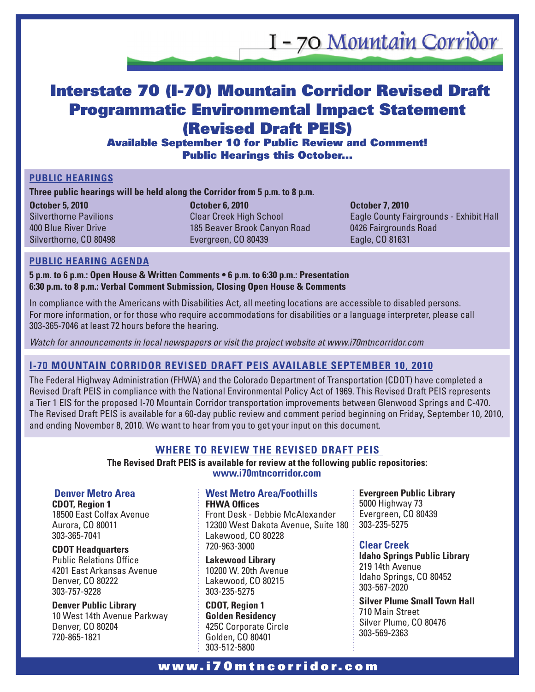I - 70 Mountain Corridor

# Interstate 70 (I-70) Mountain Corridor Revised Draft Programmatic Environmental Impact Statement (Revised Draft PEIS)

Available September 10 for Public Review and Comment! Public Hearings this October...

### **Public Hearings**

**Three public hearings will be held along the Corridor from 5 p.m. to 8 p.m.** 

**October 5, 2010**  Silverthorne Pavilions 400 Blue River Drive Silverthorne, CO 80498 **October 6, 2010**  Clear Creek High School 185 Beaver Brook Canyon Road Evergreen, CO 80439

**October 7, 2010**  Eagle County Fairgrounds - Exhibit Hall 0426 Fairgrounds Road Eagle, CO 81631

### **Public Hearing Agenda**

**5 p.m. to 6 p.m.: Open House & Written Comments • 6 p.m. to 6:30 p.m.: Presentation 6:30 p.m. to 8 p.m.: Verbal Comment Submission, Closing Open House & Comments** 

In compliance with the Americans with Disabilities Act, all meeting locations are accessible to disabled persons. For more information, or for those who require accommodations for disabilities or a language interpreter, please call 303-365-7046 at least 72 hours before the hearing.

*Watch for announcements in local newspapers or visit the project website at www.i70mtncorridor.com*

# **I-70 Mountain Corridor Revised Draft PEIS Available September 10, 2010**

The Federal Highway Administration (FHWA) and the Colorado Department of Transportation (CDOT) have completed a Revised Draft PEIS in compliance with the National Environmental Policy Act of 1969. This Revised Draft PEIS represents a Tier 1 EIS for the proposed I-70 Mountain Corridor transportation improvements between Glenwood Springs and C-470. The Revised Draft PEIS is available for a 60-day public review and comment period beginning on Friday, September 10, 2010, and ending November 8, 2010. We want to hear from you to get your input on this document.

## **Where to Review the Revised Draft PEIS**

**The Revised Draft PEIS is available for review at the following public repositories: www.i70mtncorridor.com**

### **Denver Metro Area**

**CDOT, Region 1**  18500 East Colfax Avenue Aurora, CO 80011 303-365-7041

**CDOT Headquarters** 

Public Relations Office 4201 East Arkansas Avenue Denver, CO 80222 303-757-9228

**Denver Public Library**  10 West 14th Avenue Parkway Denver, CO 80204 720-865-1821

#### **West Metro Area/Foothills FHWA Offices**

Front Desk - Debbie McAlexander 12300 West Dakota Avenue, Suite 180 Lakewood, CO 80228 720-963-3000

**Lakewood Library**  10200 W. 20th Avenue Lakewood, CO 80215 303-235-5275

**CDOT, Region 1 Golden Residency**  425C Corporate Circle Golden, CO 80401 303-512-5800

**Evergreen Public Library**  5000 Highway 73 Evergreen, CO 80439 303-235-5275

### **Clear Creek**

**Idaho Springs Public Library**  219 14th Avenue Idaho Springs, CO 80452 303-567-2020

**Silver Plume Small Town Hall**  710 Main Street Silver Plume, CO 80476 303-569-2363

# w w w . i 7 0 m t n c o r r i d o r . c o m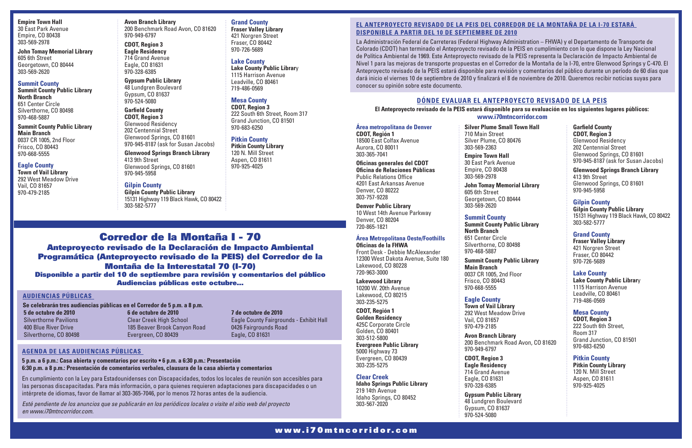**Empire Town Hall**  30 East Park Avenue Empire, CO 80438 303-569-2978

**John Tomay Memorial Library**  605 6th Street Georgetown, CO 80444 303-569-2620

#### **Summit County**

**Summit County Public Library North Branch**  651 Center Circle Silverthorne, CO 80498 970-468-5887

**Summit County Public Library Main Branch**  0037 CR 1005, 2nd Floor Frisco, CO 80443 970-668-5555

### **Eagle County**

**Town of Vail Library**  292 West Meadow Drive Vail, CO 81657 970-479-2185

**Avon Branch Library**  200 Benchmark Road Avon, CO 81620 970-949-6797

**CDOT, Region 3 Eagle Residency**  714 Grand Avenue Eagle, CO 81631 970-328-6385

**Gypsum Public Library**  48 Lundgren Boulevard Gypsum, CO 81637 970-524-5080

**Garfield County CDOT, Region 3**  Glenwood Residency 202 Centennial Street Glenwood Springs, CO 81601 970-945-8187 (ask for Susan Jacobs)

### **Glenwood Springs Branch Library**

413 9th Street Glenwood Springs, CO 81601 970-945-5958

### **Gilpin County**

**Gilpin County Public Library**  15131 Highway 119 Black Hawk, CO 80422 303-582-5777

**Grand County Fraser Valley Library**  421 Norgren Street Fraser, CO 80442 970-726-5689

**Lake County** 

**Lake County Public Librar**y 1115 Harrison Avenue Leadville, CO 80461 719-486-0569

**Mesa County CDOT, Region 3** 

222 South 6th Street, Room 317 Grand Junction, CO 81501

970-683-6250

**Pitkin County Pitkin County Library**  120 N. Mill Street Aspen, CO 81611 970-925-4025

# Corredor de la Montaña I - 70

# Anteproyecto revisado de la Declaración de Impacto Ambiental Programática (Anteproyecto revisado de la PEIS) del Corredor de la Montaña de la Interestatal 70 (I-70)

Disponible a partir del 10 de septiembre para revisión y comentarios del público Audiencias públicas este octubre…

## **El Anteproyecto revisado de la PEIS del Corredor de la Montaña de la I-70 estará disponible a partir del 10 de septiembre de 2010**

### **Silver Plume Small** 710 Main Street Silver Plume, CO 80 303-569-2363

**John Tomay Memor** 605 6th Street Georgetown, CO 80 303-569-2620

### **Summit County Pu Main Branch**  0037 CR 1005, 2nd Frisco, CO 80443 970-668-5555

**Town of Vail Libra** 292 West Meadow Vail, CO 81657 970-479-2185

La Administración Federal de Carreteras (Federal Highway Administration – FHWA) y el Departamento de Transporte de Colorado (CDOT) han terminado el Anteproyecto revisado de la PEIS en cumplimiento con lo que dispone la Ley Nacional de Política Ambiental de 1969. Este Anteproyecto revisado de la PEIS representa la Declaración de Impacto Ambiental de Nivel 1 para las mejoras de transporte propuestas en el Corredor de la Montaña de la I-70, entre Glenwood Springs y C-470. El Anteproyecto revisado de la PEIS estará disponible para revisión y comentarios del público durante un período de 60 días que dará inicio el viernes 10 de septiembre de 2010 y finalizará el 8 de noviembre de 2010. Queremos recibir noticias suyas para conocer su opinión sobre este documento.

> **Avon Branch Libra** 200 Benchmark Ro 970-949-6797

**7 de octubre de 2010** Eagle County Fairgrounds - Exhibit Hall 0426 Fairgrounds Road Eagle, CO 81631

# **Dónde evaluar el Anteproyecto revisado de la PEIS**

**Área metropolitana de Denver CDOT, Región 1**  18500 East Colfax Avenue Aurora, CO 80011

303-365-7041 **Oficinas generales del CDOT Oficina de Relaciones Públicas**  Public Relations Office 4201 East Arkansas Avenue

Denver, CO 80222 303-757-9228

**Denver Public Library**  10 West 14th Avenue Parkway Denver, CO 80204 720-865-1821

# **Área Metropolitana Oeste/Foothills**

**Oficinas de la FHWA** Front Desk - Debbie McAlexander 12300 West Dakota Avenue, Suite 180 Lakewood, CO 80228 720-963-3000

**Lakewood Library**  10200 W. 20th Avenue Lakewood, CO 80215 303-235-5275

**CDOT, Región 1 Golden Residency**  425C Corporate Circle Golden, CO 80401 303-512-5800

**Evergreen Public Library**  5000 Highway 73 Evergreen, CO 80439 303-235-5275

### **Clear Creek**

**Idaho Springs Public Library**  219 14th Avenue Idaho Springs, CO 80452 303-567-2020

**Empire Town Hall**  30 East Park Avenu Empire, CO 80438 303-569-2978

**5 de octubre de 2010**  Silverthorne Pavilions 400 Blue River Drive Silverthorne, CO 80498 **6 de octubre de 2010**  Clear Creek High School 185 Beaver Brook Canyon Road Evergreen, CO 80439 **Se celebrarán tres audiencias públicas en el Corredor de 5 p.m. a 8 p.m.** 

### **Summit County Summit County Pu North Branch**

651 Center Circle Silverthorne, CO 80 970-468-5887

**El Anteproyecto revisado de la PEIS estará disponible para su evaluación en los siguientes lugares públicos: www.i70mtncorridor.com**

## **Eagle County**

**CDOT, Region 3 Eagle Residency**  714 Grand Avenue Eagle, CO 81631 970-328-6385

**Gypsum Public Library**  48 Lundgren Boulevard Gypsum, CO 81637 970-524-5080

| II Town Hall                | <b>Garfield County</b><br><b>CDOT, Region 3</b>                                                                         |
|-----------------------------|-------------------------------------------------------------------------------------------------------------------------|
| 0476                        | <b>Glenwood Residency</b><br>202 Centennial Street<br>Glenwood Springs, CO 81601<br>970-945-8187 (ask for Susan Jacobs) |
| ue                          | <b>Glenwood Springs Branch Library</b><br>413 9th Street                                                                |
| orial Library               | Glenwood Springs, CO 81601<br>970-945-5958                                                                              |
| 0444<br><b>blic Library</b> | <b>Gilpin County</b><br><b>Gilpin County Public Library</b><br>15131 Highway 119 Black Hawk, CO 80422<br>303-582-5777   |
|                             | <b>Grand County</b>                                                                                                     |
| 0498                        | <b>Fraser Valley Library</b><br>421 Norgren Street<br>Fraser, CO 80442                                                  |
| <b>blic Library</b>         | 970-726-5689                                                                                                            |
| Floor                       | <b>Lake County</b><br><b>Lake County Public Library</b><br>1115 Harrison Avenue<br>Leadville, CO 80461<br>719-486-0569  |
| ry<br>/ Drive               | <b>Mesa County</b><br><b>CDOT, Region 3</b><br>222 South 6th Street,                                                    |
| ary<br>ad Avon, CO 81620    | <b>Room 317</b><br>Grand Junction, CO 81501<br>970-683-6250                                                             |
|                             | <b>Pitkin County</b>                                                                                                    |

**Pitkin County Library**  120 N. Mill Street Aspen, CO 81611 970-925-4025

### **Audiencias públicas**

### **Agenda de las audiencias públicas**

**5 p.m. a 6 p.m.: Casa abierta y comentarios por escrito • 6 p.m. a 6:30 p.m.: Presentación 6:30 p.m. a 8 p.m.: Presentación de comentarios verbales, clausura de la casa abierta y comentarios**

En cumplimiento con la Ley para Estadounidenses con Discapacidades, todos los locales de reunión son accesibles para las personas discapacitadas. Para más información, o para quienes requieren adaptaciones para discapacidades o un intérprete de idiomas, favor de llamar al 303-365-7046, por lo menos 72 horas antes de la audiencia.

*Esté pendiente de los anuncios que se publicarán en los periódicos locales o visite el sitio web del proyecto en www.i70mtncorridor.com.*